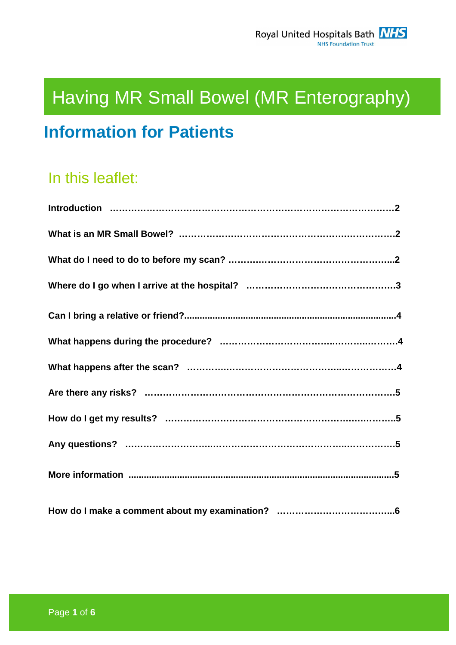# Having MR Small Bowel (MR Enterography)

# **Information for Patients**

# In this leaflet: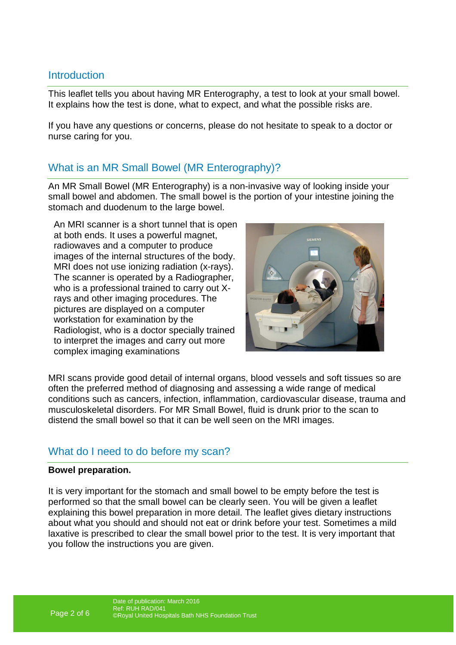# **Introduction**

This leaflet tells you about having MR Enterography, a test to look at your small bowel. It explains how the test is done, what to expect, and what the possible risks are.

If you have any questions or concerns, please do not hesitate to speak to a doctor or nurse caring for you.

# What is an MR Small Bowel (MR Enterography)?

An MR Small Bowel (MR Enterography) is a non-invasive way of looking inside your small bowel and abdomen. The small bowel is the portion of your intestine joining the stomach and duodenum to the large bowel.

An MRI scanner is a short tunnel that is open at both ends. It uses a powerful magnet, radiowaves and a computer to produce images of the internal structures of the body. MRI does not use ionizing radiation (x-rays). The scanner is operated by a Radiographer, who is a professional trained to carry out Xrays and other imaging procedures. The pictures are displayed on a computer workstation for examination by the Radiologist, who is a doctor specially trained to interpret the images and carry out more complex imaging examinations



MRI scans provide good detail of internal organs, blood vessels and soft tissues so are often the preferred method of diagnosing and assessing a wide range of medical conditions such as cancers, infection, inflammation, cardiovascular disease, trauma and musculoskeletal disorders. For MR Small Bowel, fluid is drunk prior to the scan to distend the small bowel so that it can be well seen on the MRI images.

# What do I need to do before my scan?

#### **Bowel preparation.**

It is very important for the stomach and small bowel to be empty before the test is performed so that the small bowel can be clearly seen. You will be given a leaflet explaining this bowel preparation in more detail. The leaflet gives dietary instructions about what you should and should not eat or drink before your test. Sometimes a mild laxative is prescribed to clear the small bowel prior to the test. It is very important that you follow the instructions you are given.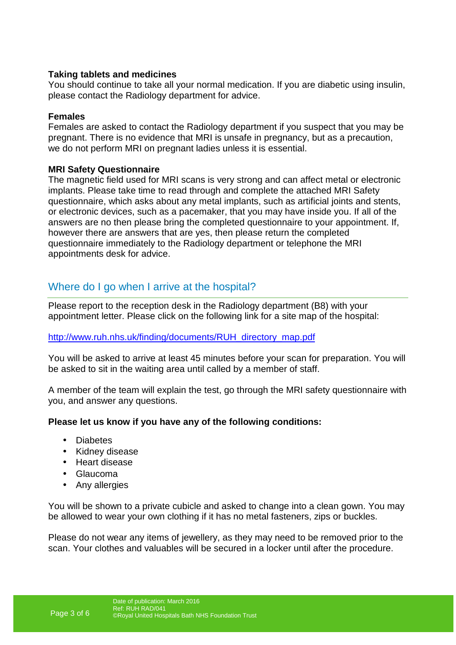#### **Taking tablets and medicines**

You should continue to take all your normal medication. If you are diabetic using insulin, please contact the Radiology department for advice.

#### **Females**

Females are asked to contact the Radiology department if you suspect that you may be pregnant. There is no evidence that MRI is unsafe in pregnancy, but as a precaution, we do not perform MRI on pregnant ladies unless it is essential.

#### **MRI Safety Questionnaire**

The magnetic field used for MRI scans is very strong and can affect metal or electronic implants. Please take time to read through and complete the attached MRI Safety questionnaire, which asks about any metal implants, such as artificial joints and stents, or electronic devices, such as a pacemaker, that you may have inside you. If all of the answers are no then please bring the completed questionnaire to your appointment. If, however there are answers that are yes, then please return the completed questionnaire immediately to the Radiology department or telephone the MRI appointments desk for advice.

# Where do I go when I arrive at the hospital?

Please report to the reception desk in the Radiology department (B8) with your appointment letter. Please click on the following link for a site map of the hospital:

#### http://www.ruh.nhs.uk/finding/documents/RUH\_directory\_map.pdf

You will be asked to arrive at least 45 minutes before your scan for preparation. You will be asked to sit in the waiting area until called by a member of staff.

A member of the team will explain the test, go through the MRI safety questionnaire with you, and answer any questions.

#### **Please let us know if you have any of the following conditions:**

- Diabetes
- Kidney disease
- Heart disease
- Glaucoma
- Any allergies

You will be shown to a private cubicle and asked to change into a clean gown. You may be allowed to wear your own clothing if it has no metal fasteners, zips or buckles.

Please do not wear any items of jewellery, as they may need to be removed prior to the scan. Your clothes and valuables will be secured in a locker until after the procedure.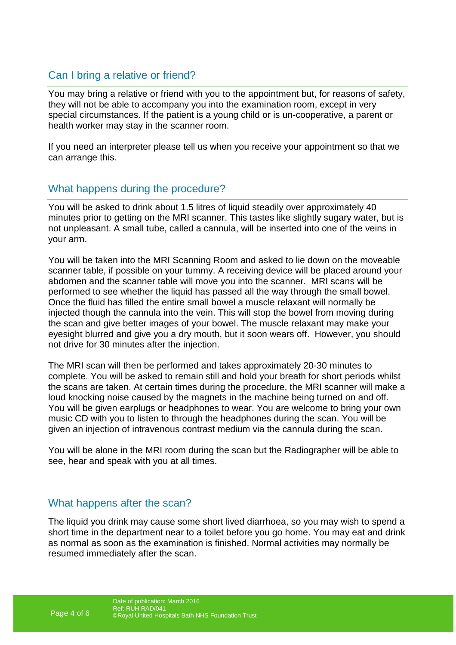# Can I bring a relative or friend?

You may bring a relative or friend with you to the appointment but, for reasons of safety, they will not be able to accompany you into the examination room, except in very special circumstances. If the patient is a young child or is un-cooperative, a parent or health worker may stay in the scanner room.

If you need an interpreter please tell us when you receive your appointment so that we can arrange this.

# What happens during the procedure?

You will be asked to drink about 1.5 litres of liquid steadily over approximately 40 minutes prior to getting on the MRI scanner. This tastes like slightly sugary water, but is not unpleasant. A small tube, called a cannula, will be inserted into one of the veins in your arm.

You will be taken into the MRI Scanning Room and asked to lie down on the moveable scanner table, if possible on your tummy. A receiving device will be placed around your abdomen and the scanner table will move you into the scanner. MRI scans will be performed to see whether the liquid has passed all the way through the small bowel. Once the fluid has filled the entire small bowel a muscle relaxant will normally be injected though the cannula into the vein. This will stop the bowel from moving during the scan and give better images of your bowel. The muscle relaxant may make your eyesight blurred and give you a dry mouth, but it soon wears off. However, you should not drive for 30 minutes after the injection.

The MRI scan will then be performed and takes approximately 20-30 minutes to complete. You will be asked to remain still and hold your breath for short periods whilst the scans are taken. At certain times during the procedure, the MRI scanner will make a loud knocking noise caused by the magnets in the machine being turned on and off. You will be given earplugs or headphones to wear. You are welcome to bring your own music CD with you to listen to through the headphones during the scan. You will be given an injection of intravenous contrast medium via the cannula during the scan.

You will be alone in the MRI room during the scan but the Radiographer will be able to see, hear and speak with you at all times.

### What happens after the scan?

The liquid you drink may cause some short lived diarrhoea, so you may wish to spend a short time in the department near to a toilet before you go home. You may eat and drink as normal as soon as the examination is finished. Normal activities may normally be resumed immediately after the scan.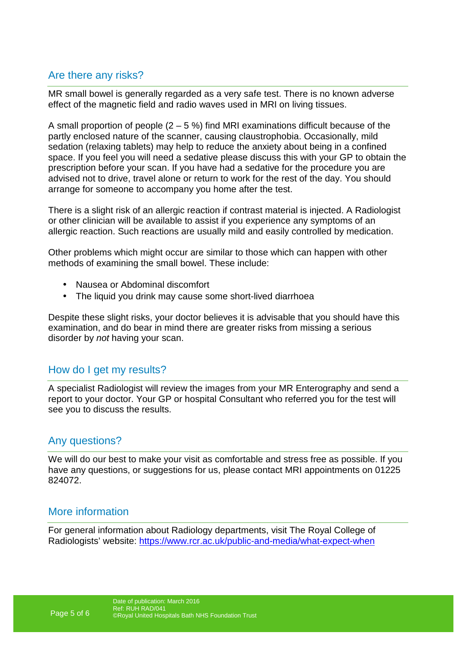# Are there any risks?

MR small bowel is generally regarded as a very safe test. There is no known adverse effect of the magnetic field and radio waves used in MRI on living tissues.

A small proportion of people  $(2 - 5 \%)$  find MRI examinations difficult because of the partly enclosed nature of the scanner, causing claustrophobia. Occasionally, mild sedation (relaxing tablets) may help to reduce the anxiety about being in a confined space. If you feel you will need a sedative please discuss this with your GP to obtain the prescription before your scan. If you have had a sedative for the procedure you are advised not to drive, travel alone or return to work for the rest of the day. You should arrange for someone to accompany you home after the test.

There is a slight risk of an allergic reaction if contrast material is injected. A Radiologist or other clinician will be available to assist if you experience any symptoms of an allergic reaction. Such reactions are usually mild and easily controlled by medication.

Other problems which might occur are similar to those which can happen with other methods of examining the small bowel. These include:

- Nausea or Abdominal discomfort
- The liquid you drink may cause some short-lived diarrhoea

Despite these slight risks, your doctor believes it is advisable that you should have this examination, and do bear in mind there are greater risks from missing a serious disorder by not having your scan.

# How do I get my results?

A specialist Radiologist will review the images from your MR Enterography and send a report to your doctor. Your GP or hospital Consultant who referred you for the test will see you to discuss the results.

### Any questions?

We will do our best to make your visit as comfortable and stress free as possible. If you have any questions, or suggestions for us, please contact MRI appointments on 01225 824072.

### More information

For general information about Radiology departments, visit The Royal College of Radiologists' website: https://www.rcr.ac.uk/public-and-media/what-expect-when